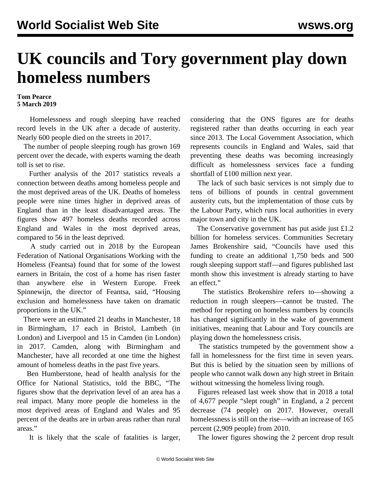## **UK councils and Tory government play down homeless numbers**

## **Tom Pearce 5 March 2019**

 Homelessness and rough sleeping have reached [record levels](/en/articles/2019/01/03/home-j03.html) in the UK after a decade of austerity. Nearly 600 people died on the streets in 2017.

 The number of people sleeping rough has grown 169 percent over the decade, with experts warning the death toll is set to rise.

 Further analysis of the 2017 statistics reveals a connection between deaths among homeless people and the most deprived areas of the UK. Deaths of homeless people were nine times higher in deprived areas of England than in the least disadvantaged areas. The figures show 497 homeless deaths recorded across England and Wales in the most deprived areas, compared to 56 in the least deprived.

 A study carried out in 2018 by the European Federation of National Organisations Working with the Homeless (Feantsa) found that for some of the lowest earners in Britain, the cost of a home has risen faster than anywhere else in Western Europe. Freek Spinnewijn, the director of Feantsa, said, "Housing exclusion and homelessness have taken on dramatic proportions in the UK."

 There were an estimated 21 deaths in Manchester, 18 in Birmingham, 17 each in Bristol, Lambeth (in London) and Liverpool and 15 in Camden (in London) in 2017. Camden, along with Birmingham and Manchester, have all recorded at one time the highest amount of homeless deaths in the past five years.

 Ben Humberstone, head of health analysis for the Office for National Statistics, told the BBC, "The figures show that the deprivation level of an area has a real impact. Many more people die homeless in the most deprived areas of England and Wales and 95 percent of the deaths are in urban areas rather than rural areas."

It is likely that the scale of fatalities is larger,

considering that the ONS figures are for deaths registered rather than deaths occurring in each year since 2013. The Local Government Association, which represents councils in England and Wales, said that preventing these deaths was becoming increasingly difficult as homelessness services face a funding shortfall of £100 million next year.

 The lack of such basic services is not simply due to tens of billions of pounds in central government austerity cuts, but the implementation of those cuts by the Labour Party, which runs local authorities in every major town and city in the UK.

 The Conservative government has put aside just £1.2 billion for homeless services. Communities Secretary James Brokenshire said, "Councils have used this funding to create an additional 1,750 beds and 500 rough sleeping support staff—and figures published last month show this investment is already starting to have an effect."

 The statistics Brokenshire refers to—showing a reduction in rough sleepers—cannot be trusted. The method for reporting on homeless numbers by councils has changed significantly in the wake of government initiatives, meaning that Labour and Tory councils are playing down the homelessness crisis.

 The statistics trumpeted by the government show a fall in homelessness for the first time in seven years. But this is belied by the situation seen by millions of people who cannot walk down any high street in Britain without witnessing the homeless living rough.

 Figures released last week show that in 2018 a total of 4,677 people "slept rough" in England, a 2 percent decrease (74 people) on 2017. However, overall homelessness is still on the rise—with an increase of 165 percent (2,909 people) from 2010.

The lower figures showing the 2 percent drop result